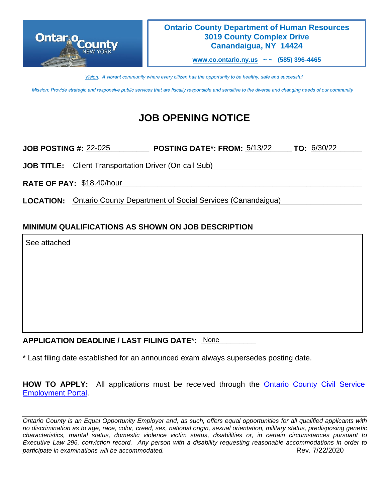

### **Ontario County Department of Human Resources 3019 County Complex Drive Canandaigua, NY 14424**

**[www.co.ontario.ny.us](http://www.co.ontario.ny.us/) ~ ~ (585) 396-4465**

*Vision: A vibrant community where every citizen has the opportunity to be healthy, safe and successful*

*Mission: Provide strategic and responsive public services that are fiscally responsible and sensitive to the diverse and changing needs of our community*

# **JOB OPENING NOTICE**

| <b>POSTING DATE*: FROM: 5/13/22</b><br><b>TO: 6/30/22</b><br><b>JOB POSTING #: 22-025</b> |  |
|-------------------------------------------------------------------------------------------|--|
| <b>JOB TITLE:</b> Client Transportation Driver (On-call Sub)                              |  |
| RATE OF PAY: \$18.40/hour                                                                 |  |

LOCATION: **Ontario County Department of Social Services (Canandaigua)** [1999]

## **MINIMUM QUALIFICATIONS AS SHOWN ON JOB DESCRIPTION**

See attached

## APPLICATION DEADLINE / LAST FILING DATE\*: None

\* Last filing date established for an announced exam always supersedes posting date.

**HOW TO APPLY:** All applications must be received through the Ontario [County Civil Service](https://ontario-portal.mycivilservice.com/)  [Employment Portal.](https://ontario-portal.mycivilservice.com/)

*Ontario County is an Equal Opportunity Employer and, as such, offers equal opportunities for all qualified applicants with no discrimination as to age, race, color, creed, sex, national origin, sexual orientation, military status, predisposing genetic characteristics, marital status, domestic violence victim status, disabilities or, in certain circumstances pursuant to Executive Law 296, conviction record. Any person with a disability requesting reasonable accommodations in order to participate in examinations will be accommodated.*  $\overline{R}$   $\overline{R}$   $\overline{R}$   $\overline{R}$   $\overline{R}$   $\overline{R}$   $\overline{R}$   $\overline{R}$   $\overline{R}$   $\overline{R}$   $\overline{R}$   $\overline{R}$   $\overline{R}$   $\overline{R}$   $\overline{R}$   $\overline{R}$   $\overline{R}$   $\overline{R}$   $\overline{R}$